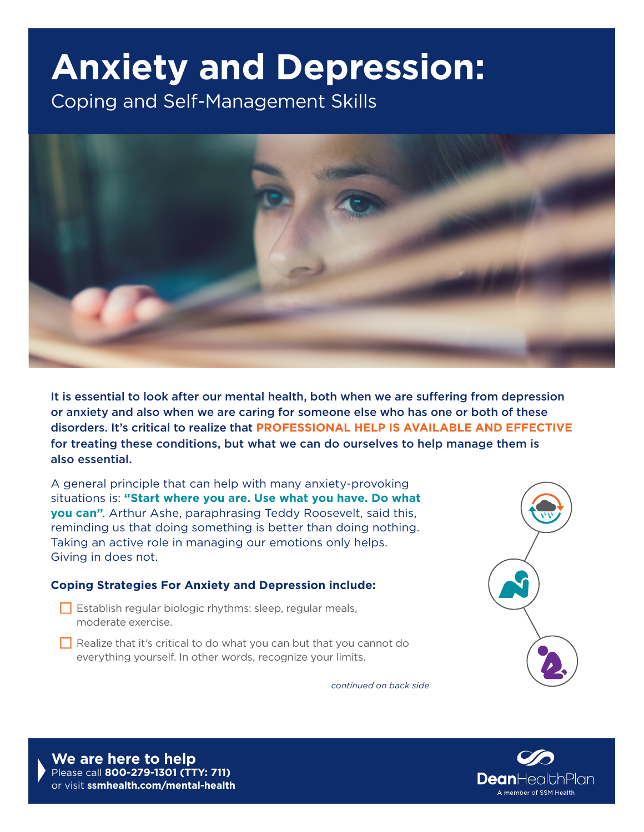## **Anxiety and Depression:**

Coping and Self-Management Skills



It is essential to look after our mental health, both when we are suffering from depression or anxiety and also when we are caring for someone else who has one or both of these disorders. It's critical to realize that **PROFESSIONAL HELP IS AVAILABLE AND EFFECTIVE** for treating these conditions, but what we can do ourselves to help manage them is also essential.

A general principle that can help with many anxiety-provoking situations is: **"Start where you are. Use what you have. Do what you can"**. Arthur Ashe, paraphrasing Teddy Roosevelt, said this, reminding us that doing something is better than doing nothing. Taking an active role in managing our emotions only helps. Giving in does not.

## **Coping Strategies For Anxiety and Depression include:**

- $\Box$  Establish regular biologic rhythms: sleep, regular meals, moderate exercise.
- $\Box$  Realize that it's critical to do what you can but that you cannot do everything yourself. In other words, recognize your limits.



*continued on back side*

**We are here to help** Please call **800-279-1301 (TTY: 711)**  or visit **[ssmhealth.com/mental-health](http://ssmhealth.com/mental-health)**